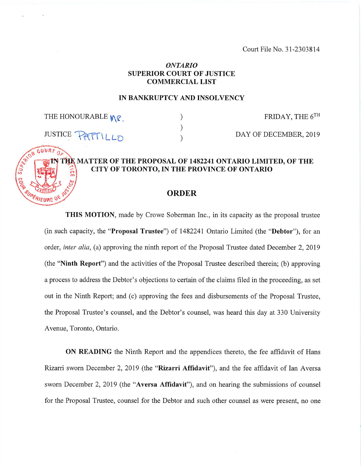Court File No. 31-2303814

# *ONTARIO* **SUPERIOR COURT OF JUSTICE COMMERCIAL LIST**

#### **IN BANKRUPTCY AND INSOLVENCY**

 $\lambda$ 

THE HONOURABLE  $M\ell$   $)$  FRIDAY, THE 6<sup>TH</sup>

# JUSTICE  $\left[\begin{array}{c} P + T + L_D \\ P + T + L_D \end{array}\right]$  DAY OF DECEMBER, 2019 **MATTER OF THE PROPOSAL OF 1482241 ONTARIO LIMITED, OF THE CITY OF TORONTO, IN THE PROVINCE OF ONTARIO**

#### **ORDER**

**THIS MOTION,** made by Crowe Soberman Inc., in its capacity as the proposal trustee (in such capacity, the **"Proposal Trustee")** of 1482241 Ontario Limited (the **"Debtor"),** for an order, *inter alia,* (a) approving the ninth report of the Proposal Trustee dated December 2, 2019 (the **"Ninth Report")** and the activities of the Proposal Trustee described therein; (b) approving a process to address the Debtor's objections to certain of the claims filed in the proceeding, as set out in the Ninth Report; and (c) approving the fees and disbursements of the Proposal Trustee, the Proposal Trustee's counsel, and the Debtor's counsel, was heard this day at 330 University Avenue, Toronto, Ontario.

**ON READING** the Ninth Report and the appendices thereto, the fee affidavit of Hans Rizarri sworn December 2, 2019 (the **"Rizarri Affidavit"),** and the fee affidavit of Ian Aversa sworn December 2, 2019 (the **"Aversa Affidavit"),** and on hearing the submissions of counsel for the Proposal Trustee, counsel for the Debtor and such other counsel as were present, no one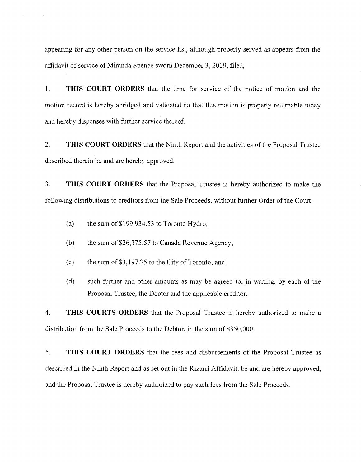appearing for any other person on the service list, although properly served as appears from the affidavit of service of Miranda Spence sworn December 3, 2019, filed,

1. **THIS COURT ORDERS** that the time for service of the notice of motion and the motion record is hereby abridged and validated so that this motion is properly returnable today and hereby dispenses with further service thereof.

2. **THIS COURT ORDERS** that the Ninth Report and the activities ofthe Proposal Trustee described therein be and are hereby approved.

3. **THIS COURT ORDERS** that the Proposal Trustee is hereby authorized to make the following distributions to creditors from the Sale Proceeds, without further Order of the Court:

- (a) the sum of \$199,934.53 to Toronto Hydro;
- (b) the sum of \$26,375.57 to Canada Revenue Agency;
- (c) the sum of  $$3,197.25$  to the City of Toronto; and
- (d) such further and other amounts as may be agreed to, in writing, by each of the Proposal Trustee, the Debtor and the applicable creditor.

4. **THIS COURTS ORDERS** that the Proposal Trustee is hereby authorized to make a distribution from the Sale Proceeds to the Debtor, in the sum of \$350,000.

5. **THIS COURT ORDERS** that the fees and disbursements of the Proposal Trustee as described in the Ninth Report and as set out in the Rizarri Affidavit, be and are hereby approved, and the Proposal Trustee is hereby authorized to pay such fees from the Sale Proceeds.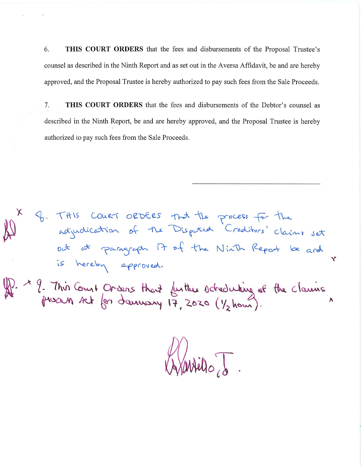6. **THIS COURT ORDERS** that the fees and disbursements of the Proposal Trustee's counsel as described in the Ninth Report and as set out in the Aversa Affidavit, be and are hereby approved, and the Proposal Trustee is hereby authorized to pay such fees from the Sale Proceeds.

7. **THIS COURT ORDERS** that the fees and disbursements of the Debtor's counsel as described in the Ninth Report, be and are hereby approved, and the Proposal Trustee is hereby authorized to pay such fees from the Sale Proceeds.

9. THIS COURT ORDERS that the process for the<br>adjudication of the Disputed Crediturs' claims set<br>out at paragraph It of the Ninth Report be and  $\checkmark$ is hereby approved. 2. 1 9. This Court Orders that further octreducting of the claims

Vartilo, J.